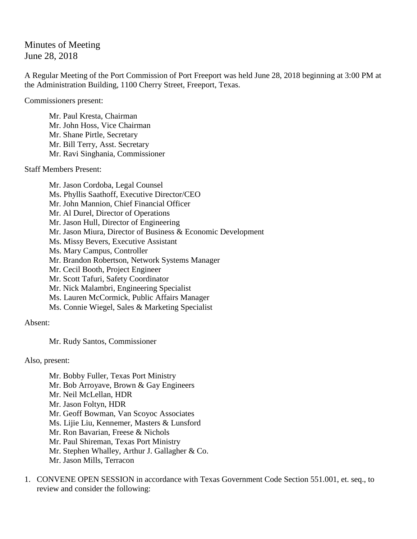Minutes of Meeting June 28, 2018

A Regular Meeting of the Port Commission of Port Freeport was held June 28, 2018 beginning at 3:00 PM at the Administration Building, 1100 Cherry Street, Freeport, Texas.

Commissioners present:

Mr. Paul Kresta, Chairman Mr. John Hoss, Vice Chairman Mr. Shane Pirtle, Secretary Mr. Bill Terry, Asst. Secretary Mr. Ravi Singhania, Commissioner

Staff Members Present:

Mr. Jason Cordoba, Legal Counsel Ms. Phyllis Saathoff, Executive Director/CEO Mr. John Mannion, Chief Financial Officer Mr. Al Durel, Director of Operations Mr. Jason Hull, Director of Engineering Mr. Jason Miura, Director of Business & Economic Development Ms. Missy Bevers, Executive Assistant Ms. Mary Campus, Controller Mr. Brandon Robertson, Network Systems Manager Mr. Cecil Booth, Project Engineer Mr. Scott Tafuri, Safety Coordinator Mr. Nick Malambri, Engineering Specialist Ms. Lauren McCormick, Public Affairs Manager Ms. Connie Wiegel, Sales & Marketing Specialist

Absent:

Mr. Rudy Santos, Commissioner

Also, present:

Mr. Bobby Fuller, Texas Port Ministry Mr. Bob Arroyave, Brown & Gay Engineers Mr. Neil McLellan, HDR Mr. Jason Foltyn, HDR Mr. Geoff Bowman, Van Scoyoc Associates Ms. Lijie Liu, Kennemer, Masters & Lunsford Mr. Ron Bavarian, Freese & Nichols Mr. Paul Shireman, Texas Port Ministry Mr. Stephen Whalley, Arthur J. Gallagher & Co. Mr. Jason Mills, Terracon

1. CONVENE OPEN SESSION in accordance with Texas Government Code Section 551.001, et. seq., to review and consider the following: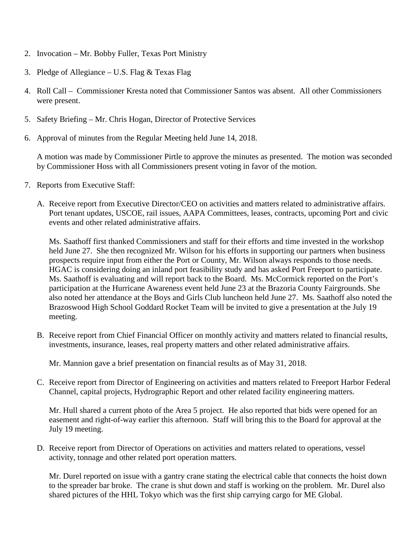- 2. Invocation Mr. Bobby Fuller, Texas Port Ministry
- 3. Pledge of Allegiance U.S. Flag & Texas Flag
- 4. Roll Call Commissioner Kresta noted that Commissioner Santos was absent. All other Commissioners were present.
- 5. Safety Briefing Mr. Chris Hogan, Director of Protective Services
- 6. Approval of minutes from the Regular Meeting held June 14, 2018.

A motion was made by Commissioner Pirtle to approve the minutes as presented. The motion was seconded by Commissioner Hoss with all Commissioners present voting in favor of the motion.

- 7. Reports from Executive Staff:
	- A. Receive report from Executive Director/CEO on activities and matters related to administrative affairs. Port tenant updates, USCOE, rail issues, AAPA Committees, leases, contracts, upcoming Port and civic events and other related administrative affairs.

Ms. Saathoff first thanked Commissioners and staff for their efforts and time invested in the workshop held June 27. She then recognized Mr. Wilson for his efforts in supporting our partners when business prospects require input from either the Port or County, Mr. Wilson always responds to those needs. HGAC is considering doing an inland port feasibility study and has asked Port Freeport to participate. Ms. Saathoff is evaluating and will report back to the Board. Ms. McCormick reported on the Port's participation at the Hurricane Awareness event held June 23 at the Brazoria County Fairgrounds. She also noted her attendance at the Boys and Girls Club luncheon held June 27. Ms. Saathoff also noted the Brazoswood High School Goddard Rocket Team will be invited to give a presentation at the July 19 meeting.

B. Receive report from Chief Financial Officer on monthly activity and matters related to financial results, investments, insurance, leases, real property matters and other related administrative affairs.

Mr. Mannion gave a brief presentation on financial results as of May 31, 2018.

C. Receive report from Director of Engineering on activities and matters related to Freeport Harbor Federal Channel, capital projects, Hydrographic Report and other related facility engineering matters.

Mr. Hull shared a current photo of the Area 5 project. He also reported that bids were opened for an easement and right-of-way earlier this afternoon. Staff will bring this to the Board for approval at the July 19 meeting.

D. Receive report from Director of Operations on activities and matters related to operations, vessel activity, tonnage and other related port operation matters.

Mr. Durel reported on issue with a gantry crane stating the electrical cable that connects the hoist down to the spreader bar broke. The crane is shut down and staff is working on the problem. Mr. Durel also shared pictures of the HHL Tokyo which was the first ship carrying cargo for ME Global.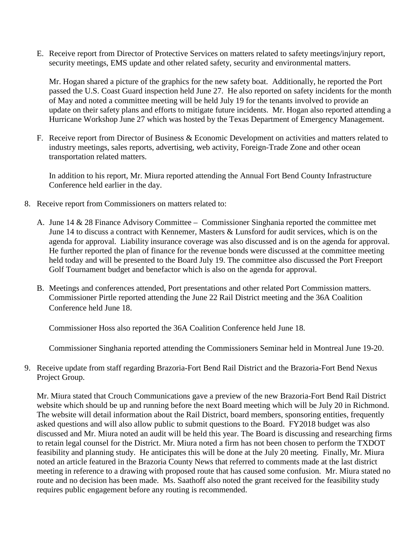E. Receive report from Director of Protective Services on matters related to safety meetings/injury report, security meetings, EMS update and other related safety, security and environmental matters.

Mr. Hogan shared a picture of the graphics for the new safety boat. Additionally, he reported the Port passed the U.S. Coast Guard inspection held June 27. He also reported on safety incidents for the month of May and noted a committee meeting will be held July 19 for the tenants involved to provide an update on their safety plans and efforts to mitigate future incidents. Mr. Hogan also reported attending a Hurricane Workshop June 27 which was hosted by the Texas Department of Emergency Management.

F. Receive report from Director of Business & Economic Development on activities and matters related to industry meetings, sales reports, advertising, web activity, Foreign-Trade Zone and other ocean transportation related matters.

In addition to his report, Mr. Miura reported attending the Annual Fort Bend County Infrastructure Conference held earlier in the day.

- 8. Receive report from Commissioners on matters related to:
	- A. June 14 & 28 Finance Advisory Committee Commissioner Singhania reported the committee met June 14 to discuss a contract with Kennemer, Masters & Lunsford for audit services, which is on the agenda for approval. Liability insurance coverage was also discussed and is on the agenda for approval. He further reported the plan of finance for the revenue bonds were discussed at the committee meeting held today and will be presented to the Board July 19. The committee also discussed the Port Freeport Golf Tournament budget and benefactor which is also on the agenda for approval.
	- B. Meetings and conferences attended, Port presentations and other related Port Commission matters. Commissioner Pirtle reported attending the June 22 Rail District meeting and the 36A Coalition Conference held June 18.

Commissioner Hoss also reported the 36A Coalition Conference held June 18.

Commissioner Singhania reported attending the Commissioners Seminar held in Montreal June 19-20.

9. Receive update from staff regarding Brazoria-Fort Bend Rail District and the Brazoria-Fort Bend Nexus Project Group.

Mr. Miura stated that Crouch Communications gave a preview of the new Brazoria-Fort Bend Rail District website which should be up and running before the next Board meeting which will be July 20 in Richmond. The website will detail information about the Rail District, board members, sponsoring entities, frequently asked questions and will also allow public to submit questions to the Board. FY2018 budget was also discussed and Mr. Miura noted an audit will be held this year. The Board is discussing and researching firms to retain legal counsel for the District. Mr. Miura noted a firm has not been chosen to perform the TXDOT feasibility and planning study. He anticipates this will be done at the July 20 meeting. Finally, Mr. Miura noted an article featured in the Brazoria County News that referred to comments made at the last district meeting in reference to a drawing with proposed route that has caused some confusion. Mr. Miura stated no route and no decision has been made. Ms. Saathoff also noted the grant received for the feasibility study requires public engagement before any routing is recommended.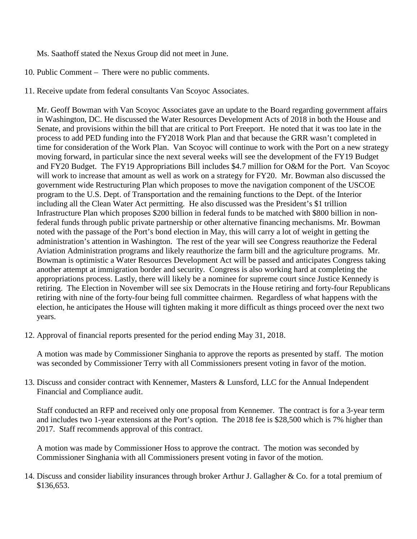Ms. Saathoff stated the Nexus Group did not meet in June.

- 10. Public Comment There were no public comments.
- 11. Receive update from federal consultants Van Scoyoc Associates.

Mr. Geoff Bowman with Van Scoyoc Associates gave an update to the Board regarding government affairs in Washington, DC. He discussed the Water Resources Development Acts of 2018 in both the House and Senate, and provisions within the bill that are critical to Port Freeport. He noted that it was too late in the process to add PED funding into the FY2018 Work Plan and that because the GRR wasn't completed in time for consideration of the Work Plan. Van Scoyoc will continue to work with the Port on a new strategy moving forward, in particular since the next several weeks will see the development of the FY19 Budget and FY20 Budget. The FY19 Appropriations Bill includes \$4.7 million for O&M for the Port. Van Scoyoc will work to increase that amount as well as work on a strategy for FY20. Mr. Bowman also discussed the government wide Restructuring Plan which proposes to move the navigation component of the USCOE program to the U.S. Dept. of Transportation and the remaining functions to the Dept. of the Interior including all the Clean Water Act permitting. He also discussed was the President's \$1 trillion Infrastructure Plan which proposes \$200 billion in federal funds to be matched with \$800 billion in nonfederal funds through public private partnership or other alternative financing mechanisms. Mr. Bowman noted with the passage of the Port's bond election in May, this will carry a lot of weight in getting the administration's attention in Washington. The rest of the year will see Congress reauthorize the Federal Aviation Administration programs and likely reauthorize the farm bill and the agriculture programs. Mr. Bowman is optimistic a Water Resources Development Act will be passed and anticipates Congress taking another attempt at immigration border and security. Congress is also working hard at completing the appropriations process. Lastly, there will likely be a nominee for supreme court since Justice Kennedy is retiring. The Election in November will see six Democrats in the House retiring and forty-four Republicans retiring with nine of the forty-four being full committee chairmen. Regardless of what happens with the election, he anticipates the House will tighten making it more difficult as things proceed over the next two years.

12. Approval of financial reports presented for the period ending May 31, 2018.

A motion was made by Commissioner Singhania to approve the reports as presented by staff. The motion was seconded by Commissioner Terry with all Commissioners present voting in favor of the motion.

13. Discuss and consider contract with Kennemer, Masters & Lunsford, LLC for the Annual Independent Financial and Compliance audit.

Staff conducted an RFP and received only one proposal from Kennemer. The contract is for a 3-year term and includes two 1-year extensions at the Port's option. The 2018 fee is \$28,500 which is 7% higher than 2017. Staff recommends approval of this contract.

A motion was made by Commissioner Hoss to approve the contract. The motion was seconded by Commissioner Singhania with all Commissioners present voting in favor of the motion.

14. Discuss and consider liability insurances through broker Arthur J. Gallagher & Co. for a total premium of \$136,653.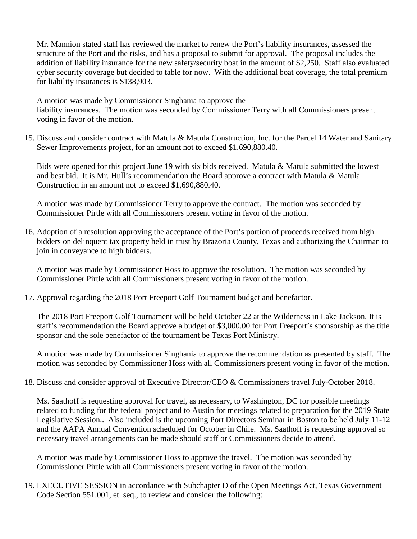Mr. Mannion stated staff has reviewed the market to renew the Port's liability insurances, assessed the structure of the Port and the risks, and has a proposal to submit for approval. The proposal includes the addition of liability insurance for the new safety/security boat in the amount of \$2,250. Staff also evaluated cyber security coverage but decided to table for now. With the additional boat coverage, the total premium for liability insurances is \$138,903.

A motion was made by Commissioner Singhania to approve the liability insurances. The motion was seconded by Commissioner Terry with all Commissioners present voting in favor of the motion.

15. Discuss and consider contract with Matula & Matula Construction, Inc. for the Parcel 14 Water and Sanitary Sewer Improvements project, for an amount not to exceed \$1,690,880.40.

Bids were opened for this project June 19 with six bids received. Matula & Matula submitted the lowest and best bid. It is Mr. Hull's recommendation the Board approve a contract with Matula & Matula Construction in an amount not to exceed \$1,690,880.40.

A motion was made by Commissioner Terry to approve the contract. The motion was seconded by Commissioner Pirtle with all Commissioners present voting in favor of the motion.

16. Adoption of a resolution approving the acceptance of the Port's portion of proceeds received from high bidders on delinquent tax property held in trust by Brazoria County, Texas and authorizing the Chairman to join in conveyance to high bidders.

A motion was made by Commissioner Hoss to approve the resolution. The motion was seconded by Commissioner Pirtle with all Commissioners present voting in favor of the motion.

17. Approval regarding the 2018 Port Freeport Golf Tournament budget and benefactor.

The 2018 Port Freeport Golf Tournament will be held October 22 at the Wilderness in Lake Jackson. It is staff's recommendation the Board approve a budget of \$3,000.00 for Port Freeport's sponsorship as the title sponsor and the sole benefactor of the tournament be Texas Port Ministry.

A motion was made by Commissioner Singhania to approve the recommendation as presented by staff. The motion was seconded by Commissioner Hoss with all Commissioners present voting in favor of the motion.

18. Discuss and consider approval of Executive Director/CEO & Commissioners travel July-October 2018.

Ms. Saathoff is requesting approval for travel, as necessary, to Washington, DC for possible meetings related to funding for the federal project and to Austin for meetings related to preparation for the 2019 State Legislative Session.. Also included is the upcoming Port Directors Seminar in Boston to be held July 11-12 and the AAPA Annual Convention scheduled for October in Chile. Ms. Saathoff is requesting approval so necessary travel arrangements can be made should staff or Commissioners decide to attend.

A motion was made by Commissioner Hoss to approve the travel. The motion was seconded by Commissioner Pirtle with all Commissioners present voting in favor of the motion.

19. EXECUTIVE SESSION in accordance with Subchapter D of the Open Meetings Act, Texas Government Code Section 551.001, et. seq., to review and consider the following: